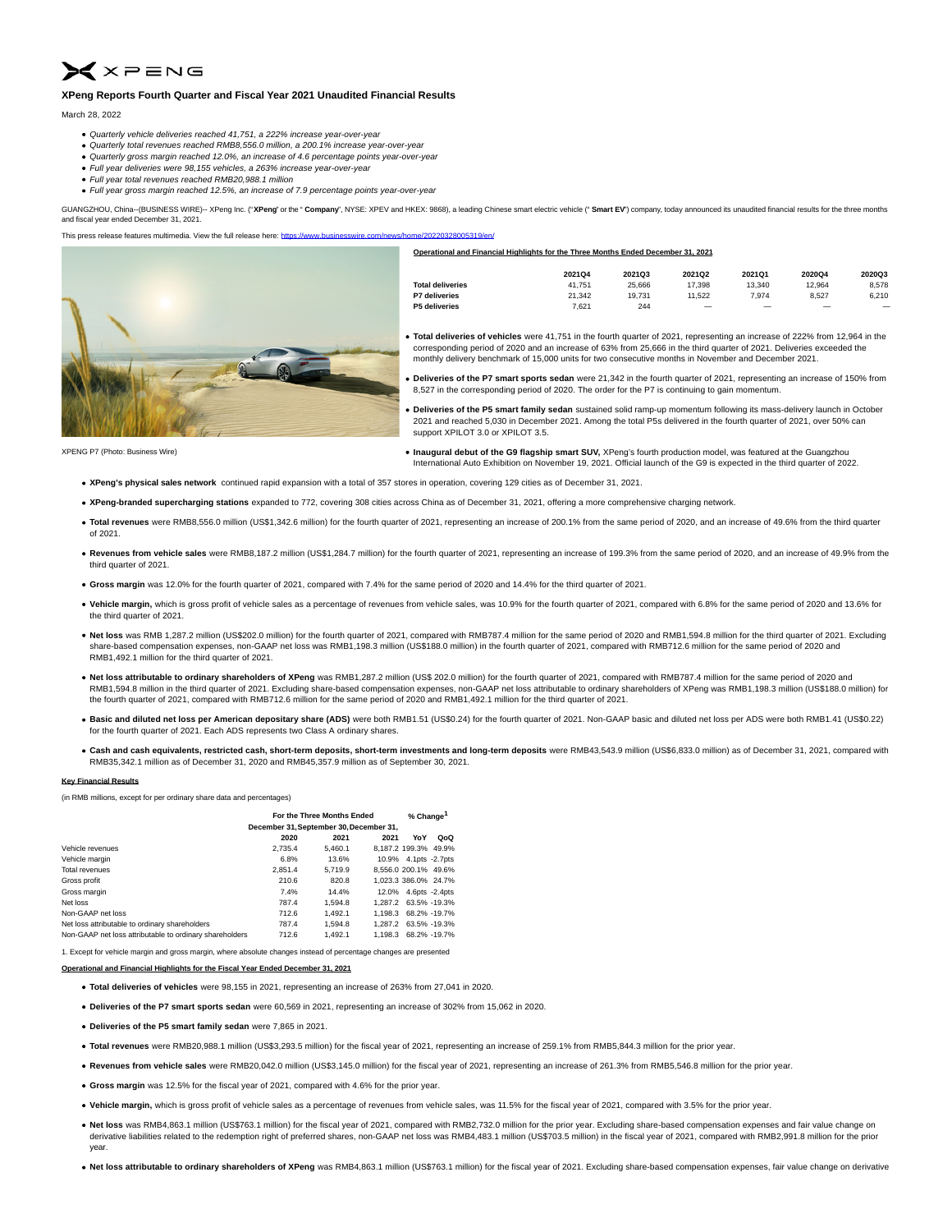

# **XPeng Reports Fourth Quarter and Fiscal Year 2021 Unaudited Financial Results**

March 28, 2022

- Quarterly vehicle deliveries reached 41,751, a 222% increase year-over-year
- Quarterly total revenues reached RMB8,556.0 million, a 200.1% increase year-over-year
- Quarterly gross margin reached 12.0%, an increase of 4.6 percentage points year-over-year
- Full year deliveries were 98,155 vehicles, a 263% increase year-over-year
- Full year total revenues reached RMB20,988.1 million
- Full year gross margin reached 12.5%, an increase of 7.9 percentage points year-over-year

GUANGZHOU, China--(BUSINESS WIRE)-- XPeng Inc. ("**XPeng**" or the " **Company**", NYSE: XPEV and HKEX: 9868), a leading Chinese smart electric vehicle (" **Smart EV**") company, today announced its unaudited financial results f

This press release features multimedia. View the full release here:<https://www.businesswire.com/news/home/20220328005319/en/>



**2021Q4 2021Q3 2021Q2 2021Q1 2020Q4 2020Q3 Total deliveries** 41,751 25,666 17,398 13,340 12,964 8,578

**Operational and Financial Highlights for the Three Months Ended December 31, 2021**

**Total deliveries of vehicles** were 41,751 in the fourth quarter of 2021, representing an increase of 222% from 12,964 in the corresponding period of 2020 and an increase of 63% from 25,666 in the third quarter of 2021. Deliveries exceeded the monthly delivery benchmark of 15,000 units for two consecutive months in November and December 2021.

**P7 deliveries** 21,342 19,731 11,522 7,974 8,527 6,210 **P5 deliveries** 7,621 244 — — — —

- **Deliveries of the P7 smart sports sedan** were 21,342 in the fourth quarter of 2021, representing an increase of 150% from 8,527 in the corresponding period of 2020. The order for the P7 is continuing to gain momentum.
- **Deliveries of the P5 smart family sedan** sustained solid ramp-up momentum following its mass-delivery launch in October 2021 and reached 5,030 in December 2021. Among the total P5s delivered in the fourth quarter of 2021, over 50% can support XPILOT 3.0 or XPILOT 3.5.

XPENG P7 (Photo: Business Wire)

- **Inaugural debut of the G9 flagship smart SUV,** XPeng's fourth production model, was featured at the Guangzhou International Auto Exhibition on November 19, 2021. Official launch of the G9 is expected in the third quarter of 2022.
- **XPeng's physical sales network** continued rapid expansion with a total of 357 stores in operation, covering 129 cities as of December 31, 2021.
- **XPeng-branded supercharging stations** expanded to 772, covering 308 cities across China as of December 31, 2021, offering a more comprehensive charging network.
- . Total revenues were RMB8,556.0 million (US\$1,342.6 million) for the fourth quarter of 2021, representing an increase of 20.0.1% from the same period of 2020, and an increase of 49.6% from the third quarter of 2021.
- **Revenues from vehicle sales** were RMB8,187.2 million (US\$1,284.7 million) for the fourth quarter of 2021, representing an increase of 199.3% from the same period of 2020, and an increase of 49.9% from the third quarter of 2021.
- **Gross margin** was 12.0% for the fourth quarter of 2021, compared with 7.4% for the same period of 2020 and 14.4% for the third quarter of 2021.
- Vehicle margin, which is gross profit of vehicle sales as a percentage of revenues from vehicle sales, was 10.9% for the fourth quarter of 2021, compared with 6.8% for the same period of 2020 and 13.6% for the third quarter of 2021.
- **Net loss** was RMB 1,287.2 million (US\$202.0 million) for the fourth quarter of 2021, compared with RMB787.4 million for the same period of 2020 and RMB1,594.8 million for the third quarter of 2021. Excluding share-based compensation expenses, non-GAAP net loss was RMB1,198.3 million (US\$188.0 million) in the fourth quarter of 2021, compared with RMB712.6 million for the same period of 2020 and RMB1,492.1 million for the third quarter of 2021.
- . Net loss attributable to ordinary shareholders of XPeng was RMB1,287.2 million (US\$ 202.0 million) for the fourth quarter of 2021, compared with RMB787.4 million for the same period of 2020 and RMB1,594.8 million in the third quarter of 2021. Excluding share-based compensation expenses, non-GAAP net loss attributable to ordinary shareholders of XPeng was RMB1,198.3 million (US\$188.0 million) for the fourth quarter of 2021, compared with RMB712.6 million for the same period of 2020 and RMB1,492.1 million for the third quarter of 2021.
- . Basic and diluted net loss per American depositary share (ADS) were both RMB1.51 (US\$0.24) for the fourth quarter of 2021. Non-GAAP basic and diluted net loss per ADS were both RMB1.41 (US\$0.22) for the fourth quarter of 2021. Each ADS represents two Class A ordinary shares.
- · Cash and cash equivalents, restricted cash, short-term deposits, short-term investments and long-term deposits were RMB43,543.9 million (US\$6,833.0 million) as of December 31, 2021, compared with RMB35,342.1 million as of December 31, 2020 and RMB45,357.9 million as of September 30, 2021.

#### **Key Financial Results**

(in RMB millions, except for per ordinary share data and percentages)

|                                                         |         | For the Three Months Ended              |                | % Change <sup>1</sup> |  |
|---------------------------------------------------------|---------|-----------------------------------------|----------------|-----------------------|--|
|                                                         |         | December 31, September 30, December 31, |                |                       |  |
|                                                         | 2020    | 2021                                    | 2021           | YoY<br>QoQ            |  |
| Vehicle revenues                                        | 2.735.4 | 5.460.1                                 | 8.187.2 199.3% | 49.9%                 |  |
| Vehicle margin                                          | 6.8%    | 13.6%                                   |                | 10.9% 4.1pts -2.7pts  |  |
| Total revenues                                          | 2.851.4 | 5.719.9                                 |                | 8.556.0 200.1% 49.6%  |  |
| Gross profit                                            | 210.6   | 820.8                                   |                | 1.023.3 386.0% 24.7%  |  |
| Gross margin                                            | 7.4%    | 14.4%                                   | 12.0%          | 4.6pts -2.4pts        |  |
| Net loss                                                | 787.4   | 1.594.8                                 | 1.287.2        | 63.5% -19.3%          |  |
| Non-GAAP net loss                                       | 712.6   | 1.492.1                                 | 1.198.3        | 68.2% - 19.7%         |  |
| Net loss attributable to ordinary shareholders          | 787.4   | 1.594.8                                 | 1.287.2        | 63.5% -19.3%          |  |
| Non-GAAP net loss attributable to ordinary shareholders | 712.6   | 1.492.1                                 | 1.198.3        | 68.2% -19.7%          |  |

1. Except for vehicle margin and gross margin, where absolute changes instead of percentage changes are presented

# **Operational and Financial Highlights for the Fiscal Year Ended December 31, 2021**

- **Total deliveries of vehicles** were 98,155 in 2021, representing an increase of 263% from 27,041 in 2020.
- **Deliveries of the P7 smart sports sedan** were 60,569 in 2021, representing an increase of 302% from 15,062 in 2020.
- **Deliveries of the P5 smart family sedan** were 7,865 in 2021.
- **Total revenues** were RMB20,988.1 million (US\$3,293.5 million) for the fiscal year of 2021, representing an increase of 259.1% from RMB5,844.3 million for the prior year.
- **Revenues from vehicle sales** were RMB20,042.0 million (US\$3,145.0 million) for the fiscal year of 2021, representing an increase of 261.3% from RMB5,546.8 million for the prior year.
- **Gross margin** was 12.5% for the fiscal year of 2021, compared with 4.6% for the prior year.
- . Vehicle margin, which is gross profit of vehicle sales as a percentage of revenues from vehicle sales, was 11.5% for the fiscal year of 2021, compared with 3.5% for the prior year.
- **Net loss** was RMB4,863.1 million (US\$763.1 million) for the fiscal year of 2021, compared with RMB2,732.0 million for the prior year. Excluding share-based compensation expenses and fair value change on derivative liabilities related to the redemption right of preferred shares, non-GAAP net loss was RMB4,483.1 million (US\$703.5 million) in the fiscal year of 2021, compared with RMB2,991.8 million for the prior year.

. Net loss attributable to ordinary shareholders of XPeng was RMB4,863.1 million (US\$763.1 million) for the fiscal year of 2021. Excluding share-based compensation expenses, fair value change on derivative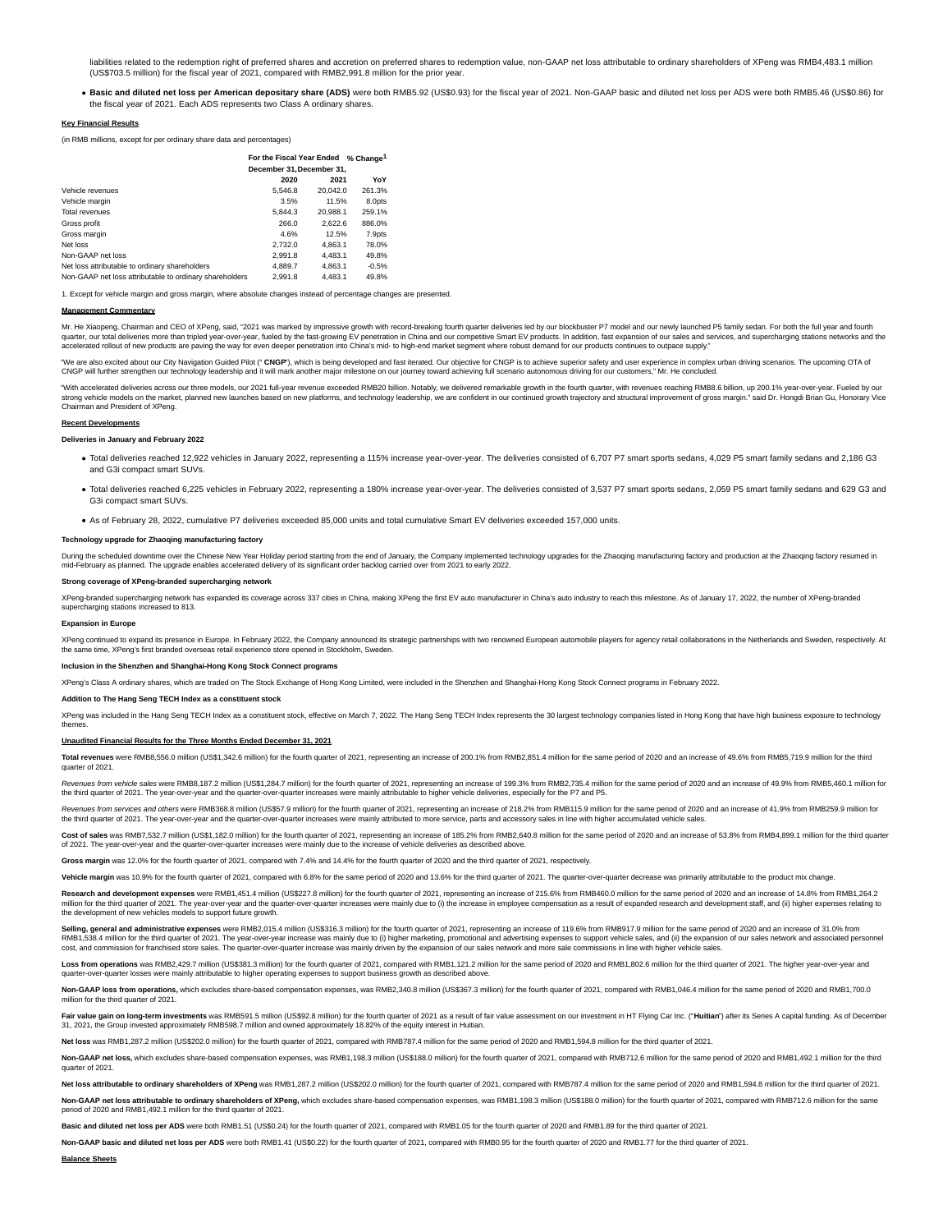liabilities related to the redemption right of preferred shares and accretion on preferred shares to redemption value, non-GAAP net loss attributable to ordinary shareholders of XPeng was RMB4,483.1 million (US\$703.5 million) for the fiscal year of 2021, compared with RMB2,991.8 million for the prior year.

. Basic and diluted net loss per American depositary share (ADS) were both RMB5.92 (US\$0.93) for the fiscal year of 2021. Non-GAAP basic and diluted net loss per ADS were both RMB5.46 (US\$0.86) for the fiscal year of 2021. Each ADS represents two Class A ordinary shares.

#### **Key Financial Results**

|                                                         | For the Fiscal Year Ended |          | % Change <sup>1</sup> |
|---------------------------------------------------------|---------------------------|----------|-----------------------|
|                                                         | December 31. December 31. |          |                       |
|                                                         | 2020                      | 2021     | YoY                   |
| Vehicle revenues                                        | 5.546.8                   | 20.042.0 | 261.3%                |
| Vehicle margin                                          | 3.5%                      | 11.5%    | 8.0pts                |
| <b>Total revenues</b>                                   | 5.844.3                   | 20.988.1 | 259.1%                |
| Gross profit                                            | 266.0                     | 2.622.6  | 886.0%                |
| Gross margin                                            | 4.6%                      | 12.5%    | 7.9pts                |
| Net loss                                                | 2.732.0                   | 4.863.1  | 78.0%                 |
| Non-GAAP net loss                                       | 2.991.8                   | 4.483.1  | 49.8%                 |
| Net loss attributable to ordinary shareholders          | 4.889.7                   | 4.863.1  | $-0.5%$               |
| Non-GAAP net loss attributable to ordinary shareholders | 2.991.8                   | 4.483.1  | 49.8%                 |

(in RMB millions, except for per ordinary share data and percentages)

1. Except for vehicle margin and gross margin, where absolute changes instead of percentage changes are presented.

#### **Management Commentary**

Mr. He Xiaopeng, Chairman and CEO of XPeng, said, "2021 was marked by impressive growth with record-breaking fourth quarter deliveries led by our blockbuster P7 model and our newly launched P5 family sedan. For both the fu

"We are also excited about our City Navigation Guided Pilot (" CNGP"), which is being developed and fast iterated. Our objective for CNGP is to achieve superior safety and user experience in complex urban driving scenarios CNGP will further strengthen our technology leadership and it will mark another major milestone on our journey toward achieving full scenario autonomous driving for our customers," Mr. He concluded.

"With accelerated deliveries across our three models, our 2021 full-year revenue exceeded RMB20 billion. Notably, we delivered remarkable growth in the fourth quarter, with revenues reaching RMB8.6 billion, up 200.1% yearstrong vehicle models on the market, planned new launches based on new platforms, and technology leadership, we are confident in our continued growth trajectory and structural improvement of gross margin." said Dr. Hongdi

# **Recent Developments**

#### **Deliveries in January and February 2022**

- . Total deliveries reached 12,922 vehicles in January 2022, representing a 115% increase year-over-year. The deliveries consisted of 6,707 P7 smart sports sedans, 4,029 P5 smart family sedans and 2,186 G3 and G3i compact smart SUVs.
- · Total deliveries reached 6,225 vehicles in February 2022, representing a 180% increase year-over-year. The deliveries consisted of 3,537 P7 smart sports sedans, 2,059 P5 smart family sedans and 629 G3 and G3i compact smart SUVs.
- As of February 28, 2022, cumulative P7 deliveries exceeded 85,000 units and total cumulative Smart EV deliveries exceeded 157,000 units.

# **Technology upgrade for Zhaoqing manufacturing factory**

During the scheduled downtime over the Chinese New Year Holiday period starting from the end of January, the Company implemented technology upgrades for the Zhaoging manufacturing factory and production at the Zhaoging fac mid-February as planned. The upgrade enables accelerated delivery of its significant order backlog carried over from 2021 to early 2022.

# **Strong coverage of XPeng-branded supercharging network**

XPeng-branded supercharging network has expanded its coverage across 337 cities in China, making XPeng the first EV auto manufacturer in China's auto industry to reach this milestone. As of January 17, 2022, the number of arging stations incre

## **Expansion in Europe**

XPeng continued to expand its presence in Europe. In February 2022, the Company announced its strategic partnerships with two renowned European automobile players for agency retail collaborations in the Netherlands and Swe

# **Inclusion in the Shenzhen and Shanghai-Hong Kong Stock Connect programs**

XPeng's Class A ordinary shares, which are traded on The Stock Exchange of Hong Kong Limited, were included in the Shenzhen and Shanghai-Hong Kong Stock Connect programs in February 2022.

**Addition to The Hang Seng TECH Index as a constituent stock**

XPeng was included in the Hang Seng TECH Index as a constituent stock, effective on March 7, 2022. The Hang Seng TECH Index represents the 30 largest technology companies listed in Hong Kong that have high business exposur themes.

## **Unaudited Financial Results for the Three Months Ended December 31, 2021**

Total revenues were RMB8.556.0 million (US\$1.342.6 million) for the fourth quarter of 2021, representing an increase of 200.1% from RMB2.851.4 million for the same period of 2020 and an increase of 49.6% from RMB5.719.9 mi quarter of 2021

Revenues from vehicle sales were RMB8,187.2 million (US\$1,284.7 million) for the fourth quarter of 2021, representing an increase of 199.3% from RMB2,735.4 million for the same period of 2020 and an increase of 49.9% from

Revenues from services and others were RMB368.8 million (US\$57.9 million) for the fourth quarter of 2021, representing an increase of 218.2% from RMB115.9 million for the same period of 2020 and an increase of 41.9% from R

Cost of sales was RMB7,532.7 million (US\$1,182.0 million) for the fourth quarter of 2021, representing an increase of 185.2% from RMB2,640.8 million for the same period of 2020 and an increase of 53.8% from RMB4,899.1 mill of 2021. The year-over-year and the quarter-over-quarter increases were mainly due to the increase of vehicle deliveries as described above.

Gross margin was 12.0% for the fourth quarter of 2021, compared with 7.4% and 14.4% for the fourth quarter of 2020 and the third quarter of 2021, respectively.

Vehicle margin was 10.9% for the fourth quarter of 2021, compared with 6.8% for the same period of 2020 and 13.6% for the third quarter of 2021. The quarter-over-quarter decrease was primarily attributable to the product m

Research and development expenses were RMB1,451.4 million (US\$227.8 million) for the fourth quarter of 2021, representing an increase of 215.6% from RMB460.0 million for the same period of 2020 and an increase of 14.8% fro or the third quarter of 2021. The year-over-year and the quarter-over-quarter increases were mainly due to (i) the increase in employee compensation as a result of expanded research and development staff, and (ii) higher e the development of new vehicles models to support future growth.

Selling, general and administrative expenses were RMB2,015.4 million (US\$316.3 million) for the fourth quarter of 2021, representing an increase of 119.6% from RMB917.9 million for the same period of 2020 and an increase o RMB1,538.4 million for the third quarter of 2021. The year-over-year increase was mainly due to (i) higher marketing, promotional and advertising expenses to support vehicle sales, and (ii) the expansion of our sales netwo

Loss from operations was RMB2,429.7 million (US\$381.3 million) for the fourth quarter of 2021, compared with RMB1,121.2 million for the same period of 2020 and RMB1,802.6 million for the third quarter of 2021. The higher y quarter-over-quarter losses were mainly attributable to higher operating expenses to support business growth as described above.

Non-GAAP loss from operations, which excludes share-based compensation expenses, was RMB2,340.8 million (US\$367.3 million) for the fourth quarter of 2021, compared with RMB1,046.4 million for the same period of 2020 and RM million for the third quarter of 2021.

Fair value gain on long-term investments was RMB591.5 million (US\$92.8 million) for the fourth quarter of 2021 as a result of fair value assessment on our investment in HT Flying Car Inc. ("Huitlan") after its Series A cap 31, 2021, the Group invested approximately RMB598.7 million and owned approximately 18.82% of the equity interest in Huitian.

**Net loss** was RMB1,287.2 million (US\$202.0 million) for the fourth quarter of 2021, compared with RMB787.4 million for the same period of 2020 and RMB1,594.8 million for the third quarter of 2021.

Non-GAAP net loss, which excludes share-based compensation expenses, was RMB1.198.3 million (US\$188.0 million) for the fourth quarter of 2021, compared with RMB712.6 million for the same period of 2020 and RMB1.492.1 milli quarter of 2021.

Net loss attributable to ordinary shareholders of XPeng was RMB1.287.2 million (US\$202.0 million) for the fourth quarter of 2021, compared with RMB787.4 million for the same period of 2020 and RMB1.594.8 million for the th

Non-GAAP net loss attributable to ordinary shareholders of XPeng, which excludes share-based compensation expenses, was RMB1,198.3 million (US\$188.0 million) for the fourth quarter of 2021, compared with RMB712.6 million f period of 2020 and RMB1,492.1 million for the third quarter of 2021.

Basic and diluted net loss per ADS were both RMB1.51 (US\$0.24) for the fourth quarter of 2021, compared with RMB1.05 for the fourth quarter of 2020 and RMB1.89 for the third quarter of 2021

Non-GAAP basic and diluted net loss per ADS were both RMB1.41 (US\$0.22) for the fourth quarter of 2021, compared with RMB0.95 for the fourth quarter of 2020 and RMB1.77 for the third quarter of 2021.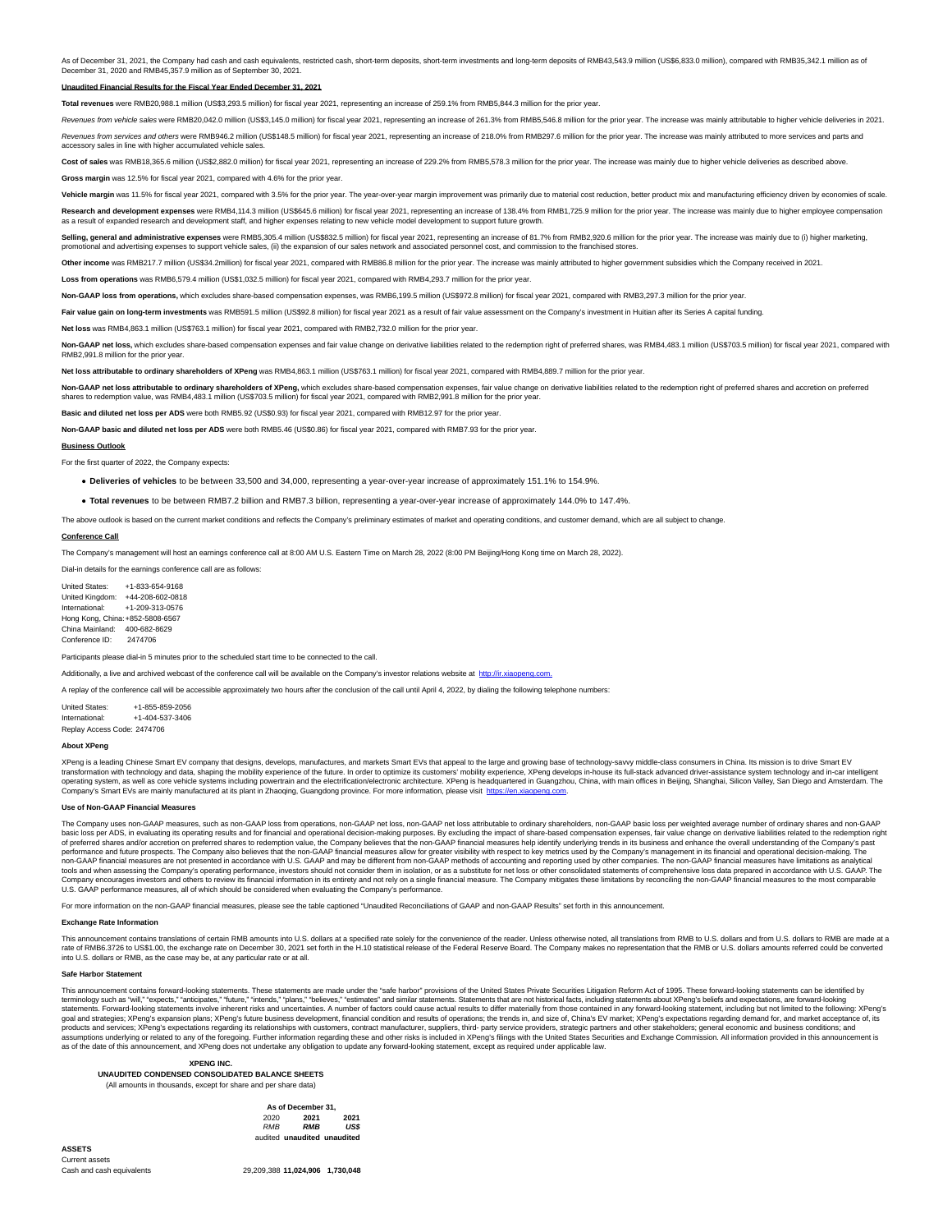As of December 31, 2021, the Company had cash and cash equivalents, restricted cash, short-term deposits, short-term investments and long-term deposits of RMB43,543.9 million (US\$6,833.0 million), compared with RMB35,342.1

#### **Let Financial Results for the Fiscal Year Ended December 31, 2021**

**Total revenues** were RMB20,988.1 million (US\$3,293.5 million) for fiscal year 2021, representing an increase of 259.1% from RMB5,844.3 million for the prior year.

Revenues from vehicle sales were RMB20,042.0 million (US\$3,145.0 million) for fiscal year 2021, representing an increase of 261.3% from RMB5,546.8 million for the prior year. The increase was mainly attributable to higher Revenues from services and others were RMB946.2 million (US\$148.5 million) for fiscal year 2021, representing an increase of 218.0% from RMB297.6 million for the prior year. The increase was mainly attributed to more servi

accessory sales in line with higher accumulated vehicle sales.

Cost of sales was RMB18.365.6 million (US\$2.882.0 million) for fiscal year 2021, representing an increase of 229.2% from RMB5.578.3 million for the prior year. The increase was mainly due to bigher vehicle deliveries as de **Gross margin** was 12.5% for fiscal year 2021, compared with 4.6% for the prior year.

Vehicle margin was 11.5% for fiscal year 2021, compared with 3.5% for the prior year. The year-over-year margin improvement was primarily due to material cost reduction, better product mix and manufacturing efficiency driv Research and development expenses were RMB4,114.3 million (US\$645.6 million) for fiscal year 2021, representing an increase of 138.4% from RMB1,725.9 million for the prior year. The increase was mainly due to higher employ

as a result of expanded research and development staff, and higher expenses relating to new vehicle model development to support future growth.

Selling, general and administrative expenses were RMB5,305.4 million (US\$832.5 million) for fiscal year 2021, representing an increase of 81.7% from RMB2,920.6 million for the prior year. The increase was mainly due to (i) al and advertising expenses to support vehicle sales, (ii) the expansion of our sales network and associated personnel cost, and commission to the franchised stores

Other income was RMB217.7 million (US\$34.2million) for fiscal year 2021, compared with RMB86.8 million for the prior year. The increase was mainly attributed to higher government subsidies which the Company received in 202

Loss from operations was RMB6,579.4 million (US\$1,032.5 million) for fiscal year 2021, compared with RMB4,293.7 million for the prior year.

Non-GAAP loss from operations, which excludes share-based compensation expenses, was RMB6,199.5 million (US\$972.8 million) for fiscal year 2021, compared with RMB3,297.3 million for the prior year.

Fair value gain on long-term investments was RMB591.5 million (US\$92.8 million) for fiscal year 2021 as a result of fair value assessment on the Company's investment in Huitian after its Series A capital funding.

**Net loss** was RMB4,863.1 million (US\$763.1 million) for fiscal year 2021, compared with RMB2,732.0 million for the prior year.

on-GAAP net loss, which excludes share-based compensation expenses and fair value change on derivative liabilities related to the redemption right of preferred shares, was RMB4.483.1 million (US\$703.5 million) for fiscal y RMB2,991.8 million for the prior year.

Net loss attributable to ordinary shareholders of XPeng was RMB4,863.1 million (US\$763.1 million) for fiscal year 2021, compared with RMB4,889.7 million for the prior year.

Non-GAAP net loss attributable to ordinary shareholders of XPeng, which excludes share-based compensation expenses, fair value change on derivative liabilities related to the redemption right of preferred shares and accret

**Basic and diluted net loss per ADS** were both RMB5.92 (US\$0.93) for fiscal year 2021, compared with RMB12.97 for the prior year.

**Non-GAAP basic and diluted net loss per ADS** were both RMB5.46 (US\$0.86) for fiscal year 2021, compared with RMB7.93 for the prior year.

#### **Business Outlook**

For the first quarter of 2022, the Company expects:

**Deliveries of vehicles** to be between 33,500 and 34,000, representing a year-over-year increase of approximately 151.1% to 154.9%.

**Total revenues** to be between RMB7.2 billion and RMB7.3 billion, representing a year-over-year increase of approximately 144.0% to 147.4%.

The above outlook is based on the current market conditions and reflects the Company's preliminary estimates of market and operating conditions, and customer demand, which are all subject to change

# **Conference Call**

The Company's management will host an earnings conference call at 8:00 AM U.S. Eastern Time on March 28, 2022 (8:00 PM Beijing/Hong Kong time on March 28, 2022).

Dial-in details for the earnings conference call are as follows:

United States: +1-833-654-9168 United Kingdom: +44-208-602-0818<br>International: +1-209-313-0576 International: +1-209-313-0576 Hong Kong, China:+852-5808-6567 China Mainland: 400-682-8629 Conference ID: 2474706

Participants please dial-in 5 minutes prior to the scheduled start time to be connected to the call

Additionally, a live and archived webcast of the conference call will be available on the Company's investor relations website at http://

A replay of the conference call will be accessible approximately two hours after the conclusion of the call until April 4, 2022, by dialing the following telephone numbers:

United States: +1-855-859-2056 International: +1-404-537-3406 Replay Access Code: 2474706

#### **About XPeng**

XPeng is a leading Chinese Smart EV company that designs, develops, manufactures, and markets Smart EVs that appeal to the large and growing base of technology-savy middle-class consumers in China. Its mission is to drive Company's Smart EVs are mainly manufactured at its plant in Zhaoqing, Guangdong province. For more information, please visit https://en.xiaopeng.com

#### **Use of Non-GAAP Financial Measures**

The Company uses non-GAAP measures, such as non-GAAP loss from operations, non-GAAP net loss, non-GAAP net loss attributable to ordinary shareholders, non-GAAP basic loss per weighted average number of ordinary shares and basic loss per ADS, in evaluating its operating results and for financial and operational decision-making purposes. By excluding the impact of share-based compensation expenses, fair value change on derivative liabilities performance and future prospects. The Company also believes that the non-GAAP financial measures allow for greater visibility with respect to key metrics used by the Company's management in its financial and operational de any encourages investors and others to review its financial information in its entirety and not rely on a single financial measure. The Company mitigates these limitations by reconciling the non-GAAP financial measures to U.S. GAAP performance measures, all of which should be considered when evaluating the Company's performance.

For more information on the non-GAAP financial measures, please see the table captioned "Unaudited Reconciliations of GAAP and non-GAAP Results" set forth in this announcement.

# **Exchange Rate Information**

This announcement contains translations of certain RMB amounts into U.S. dollars at a specified rate solely for the convenience of the reader. Upless otherwise noted, all translations from RMB to U.S. dollars and from U.S. rate of RMB6.3726 to US\$1.00, the exchange rate on December 30, 2021 set forth in the H.10 statistical release of the Federal Reserve Board. The Company makes no representation that the RMB or U.S. dollars amounts referred

#### **Safe Harbor Statement**

This announcement contains forward-looking statemsts. These statements are made under the "safe harbor" provisions of the United States Private Securities Litigation Reform Act of 1995. These storted by the statements and statements. Forward-looking statements involve inherent risks and uncertainties. A number of factors could cause actual results to differ materially from those contained in any forward-looking statement, including but not assumptions underlying or related to any of the foregoing. Further information regarding these and other risks is included in XP eng's filings with the United States Securities and Exchange Commission. All information prov as of the date of this announcement, and XPeng does not undertake any obligation to update any forward-looking statement, except as required under applicable law.

#### **XPENG INC. UNAUDITED CONDENSED CONSOLIDATED BALANCE SHEETS**

(All amounts in thousands, except for share and per share data)

**As of December 31,** 2020 RMB **2021 RMB 2021 US\$** audited **una** 

**ASSETS** Current assets<br>Cash and cash equivalents

Cash and cash equivalents 29,209,388 **11,024,906 1,730,048**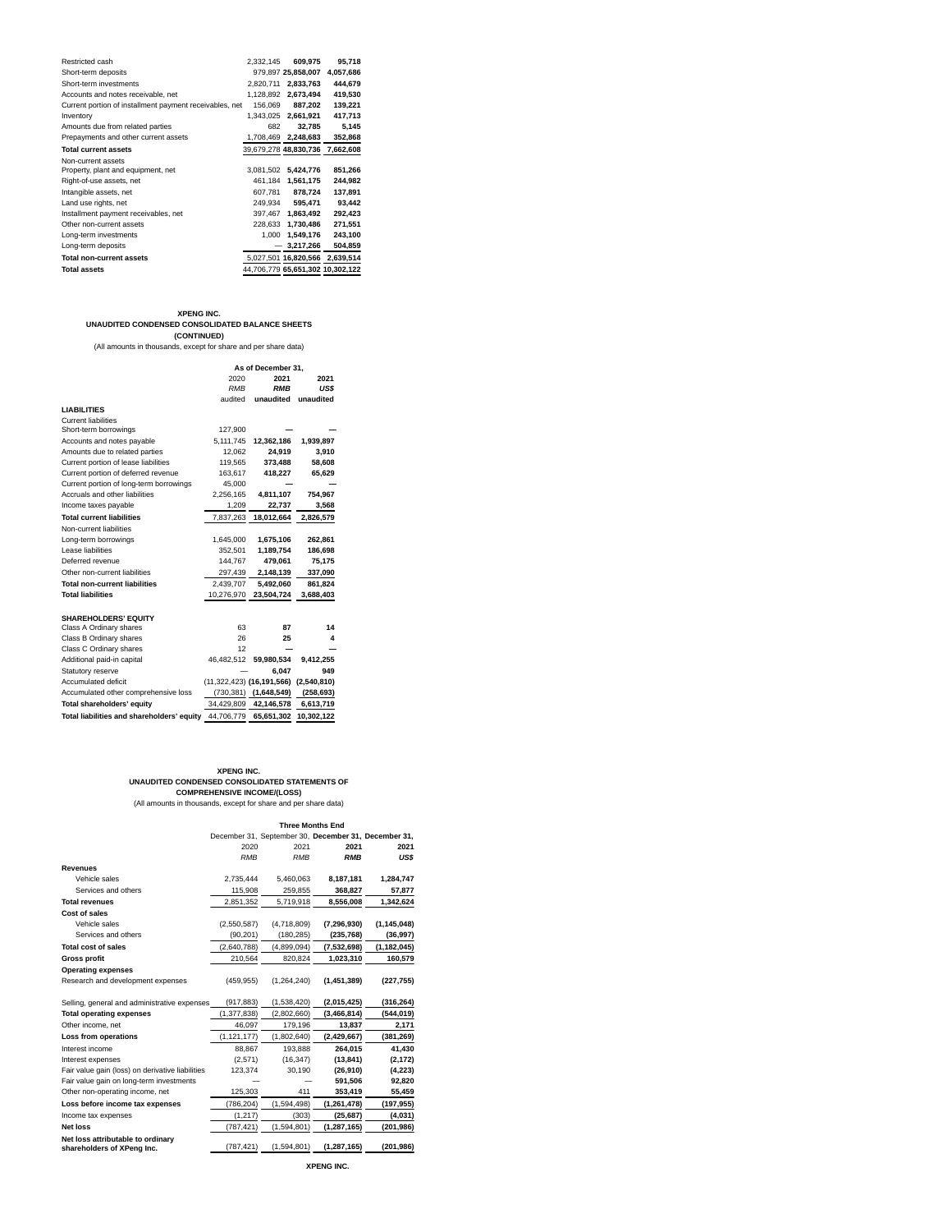| Restricted cash                                         | 2.332.145 | 609.975                          | 95,718    |
|---------------------------------------------------------|-----------|----------------------------------|-----------|
| Short-term deposits                                     |           | 979,897 25,858,007               | 4,057,686 |
| Short-term investments                                  | 2.820.711 | 2.833.763                        | 444.679   |
| Accounts and notes receivable, net                      | 1.128.892 | 2,673,494                        | 419,530   |
| Current portion of installment payment receivables, net | 156.069   | 887.202                          | 139.221   |
| Inventory                                               |           | 1,343,025 2,661,921              | 417,713   |
| Amounts due from related parties                        | 682       | 32.785                           | 5.145     |
| Prepayments and other current assets                    |           | 1,708,469 2,248,683              | 352,868   |
| <b>Total current assets</b>                             |           | 39,679,278 48,830,736 7,662,608  |           |
| Non-current assets                                      |           |                                  |           |
| Property, plant and equipment, net                      |           | 3.081.502 5.424.776              | 851.266   |
| Right-of-use assets, net                                | 461,184   | 1,561,175                        | 244,982   |
| Intangible assets, net                                  | 607.781   | 878.724                          | 137,891   |
| Land use rights, net                                    | 249.934   | 595.471                          | 93.442    |
| Installment payment receivables, net                    | 397.467   | 1.863.492                        | 292.423   |
| Other non-current assets                                | 228,633   | 1,730,486                        | 271,551   |
| Long-term investments                                   | 1.000     | 1.549.176                        | 243,100   |
| Long-term deposits                                      |           | $-3,217,266$                     | 504,859   |
| <b>Total non-current assets</b>                         |           | 5,027,501 16,820,566 2,639,514   |           |
| <b>Total assets</b>                                     |           | 44,706,779 65,651,302 10,302,122 |           |

# **XPENG INC. UNAUDITED CONDENSED CONSOLIDATED BALANCE SHEETS (CONTINUED)** (All amounts in thousands, except for share and per share data)

|                                            | As of December 31. |                           |             |  |
|--------------------------------------------|--------------------|---------------------------|-------------|--|
|                                            | 2020               | 2021                      | 2021        |  |
|                                            | <b>RMB</b>         | <b>RMB</b>                | US\$        |  |
|                                            | audited            | unaudited                 | unaudited   |  |
| <b>LIABILITIES</b>                         |                    |                           |             |  |
| <b>Current liabilities</b>                 |                    |                           |             |  |
| Short-term borrowings                      | 127,900            |                           |             |  |
| Accounts and notes payable                 | 5,111,745          | 12,362,186                | 1,939,897   |  |
| Amounts due to related parties             | 12.062             | 24.919                    | 3.910       |  |
| Current portion of lease liabilities       | 119.565            | 373,488                   | 58,608      |  |
| Current portion of deferred revenue        | 163.617            | 418.227                   | 65,629      |  |
| Current portion of long-term borrowings    | 45,000             |                           |             |  |
| Accruals and other liabilities             | 2,256,165          | 4,811,107                 | 754,967     |  |
| Income taxes payable                       | 1,209              | 22,737                    | 3,568       |  |
| <b>Total current liabilities</b>           | 7,837,263          | 18.012.664                | 2,826,579   |  |
| Non-current liabilities                    |                    |                           |             |  |
| Long-term borrowings                       | 1,645,000          | 1,675,106                 | 262,861     |  |
| Lease liabilities                          | 352.501            | 1.189.754                 | 186.698     |  |
| Deferred revenue                           | 144,767            | 479,061                   | 75,175      |  |
| Other non-current liabilities              | 297,439            | 2,148,139                 | 337,090     |  |
| <b>Total non-current liabilities</b>       | 2,439,707          | 5.492.060                 | 861,824     |  |
| <b>Total liabilities</b>                   | 10,276,970         | 23,504,724                | 3,688,403   |  |
|                                            |                    |                           |             |  |
| <b>SHAREHOLDERS' EQUITY</b>                |                    |                           |             |  |
| Class A Ordinary shares                    | 63                 | 87                        | 14          |  |
| Class B Ordinary shares                    | 26                 | 25                        | 4           |  |
| Class C Ordinary shares                    | 12                 |                           |             |  |
| Additional paid-in capital                 | 46.482.512         | 59,980,534                | 9.412.255   |  |
| Statutory reserve                          |                    | 6.047                     | 949         |  |
| Accumulated deficit                        |                    | (11,322,423) (16,191,566) | (2,540,810) |  |
| Accumulated other comprehensive loss       |                    | $(730,381)$ $(1,648,549)$ | (258, 693)  |  |
| Total shareholders' equity                 | 34,429,809         | 42,146,578                | 6,613,719   |  |
| Total liabilities and shareholders' equity | 44.706.779         | 65,651,302                | 10.302.122  |  |

**XPENG INC.<br>
UNAUDITED CONDENSED CONSOLIDATED STATEMENTS OF<br>
COMPREHENSIVE INCOME/(LOSS)<br>
(All amounts in thousands, except for share and per share data)** 

|                                                  | <b>Three Months End</b> |             |                                                      |               |
|--------------------------------------------------|-------------------------|-------------|------------------------------------------------------|---------------|
|                                                  |                         |             | December 31, September 30, December 31, December 31, |               |
|                                                  | 2020                    | 2021        | 2021                                                 | 2021          |
|                                                  | <b>RMB</b>              | <b>RMB</b>  | <b>RMB</b>                                           | <b>USS</b>    |
| <b>Revenues</b>                                  |                         |             |                                                      |               |
| Vehicle sales                                    | 2.735.444               | 5.460.063   | 8.187.181                                            | 1,284,747     |
| Services and others                              | 115,908                 | 259,855     | 368,827                                              | 57,877        |
| <b>Total revenues</b>                            | 2,851,352               | 5,719,918   | 8,556,008                                            | 1,342,624     |
| Cost of sales                                    |                         |             |                                                      |               |
| Vehicle sales                                    | (2,550,587)             | (4,718,809) | (7, 296, 930)                                        | (1, 145, 048) |
| Services and others                              | (90, 201)               | (180, 285)  | (235, 768)                                           | (36,997)      |
| <b>Total cost of sales</b>                       | (2,640,788)             | (4,899,094) | (7, 532, 698)                                        | (1, 182, 045) |
| <b>Gross profit</b>                              | 210,564                 | 820,824     | 1,023,310                                            | 160,579       |
| <b>Operating expenses</b>                        |                         |             |                                                      |               |
| Research and development expenses                | (459, 955)              | (1,264,240) | (1, 451, 389)                                        | (227, 755)    |
|                                                  |                         |             |                                                      |               |
| Selling, general and administrative expenses     | (917, 883)              | (1,538,420) | (2,015,425)                                          | (316, 264)    |
| <b>Total operating expenses</b>                  | (1,377,838)             | (2,802,660) | (3,466,814)                                          | (544, 019)    |
| Other income, net                                | 46,097                  | 179,196     | 13,837                                               | 2,171         |
| Loss from operations                             | (1, 121, 177)           | (1,802,640) | (2, 429, 667)                                        | (381, 269)    |
| Interest income                                  | 88.867                  | 193.888     | 264.015                                              | 41.430        |
| Interest expenses                                | (2,571)                 | (16, 347)   | (13, 841)                                            | (2, 172)      |
| Fair value gain (loss) on derivative liabilities | 123.374                 | 30.190      | (26.910)                                             | (4,223)       |
| Fair value gain on long-term investments         |                         |             | 591,506                                              | 92,820        |
| Other non-operating income, net                  | 125,303                 | 411         | 353,419                                              | 55,459        |
| Loss before income tax expenses                  | (786, 204)              | (1,594,498) | (1, 261, 478)                                        | (197,955)     |
| Income tax expenses                              | (1, 217)                | (303)       | (25, 687)                                            | (4,031)       |
| <b>Net loss</b>                                  | (787, 421)              | (1,594,801) | (1, 287, 165)                                        | (201, 986)    |
| Net loss attributable to ordinary                |                         |             |                                                      |               |
| shareholders of XPeng Inc.                       | (787, 421)              | (1,594,801) | (1, 287, 165)                                        | (201, 986)    |
|                                                  |                         |             |                                                      |               |

**XPENG INC.**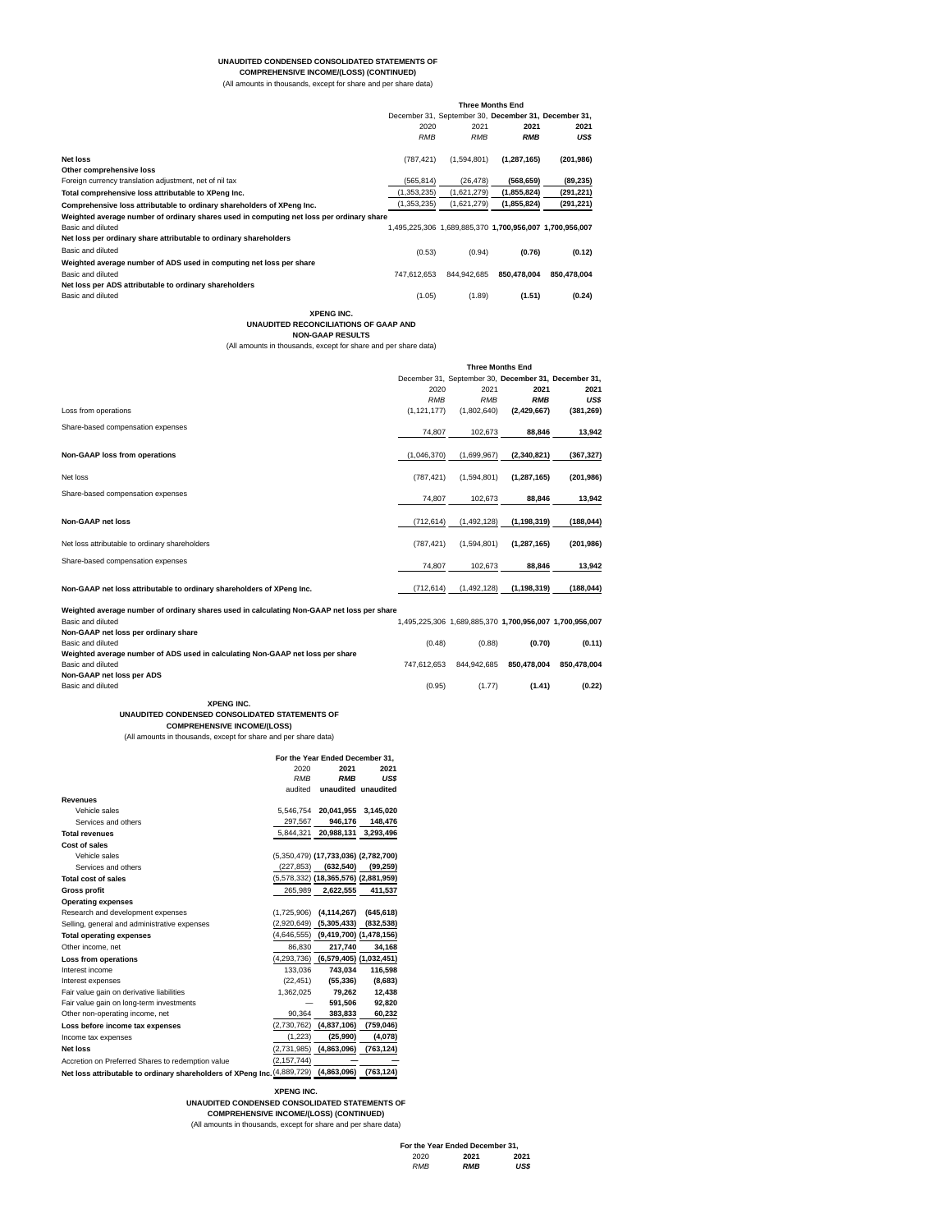# **UNAUDITED CONDENSED CONSOLIDATED STATEMENTS OF**

**COMPREHENSIVE INCOME/(LOSS) (CONTINUED)** (All amounts in thousands, except for share and per share data)

|                                                                                          | <b>Three Months End</b> |             |                                                         |             |
|------------------------------------------------------------------------------------------|-------------------------|-------------|---------------------------------------------------------|-------------|
|                                                                                          |                         |             | December 31, September 30, December 31, December 31,    |             |
|                                                                                          | 2020                    | 2021        | 2021                                                    | 2021        |
|                                                                                          | <b>RMB</b>              | <b>RMB</b>  | <b>RMB</b>                                              | US\$        |
| Net loss                                                                                 | (787, 421)              | (1.594.801) | (1, 287, 165)                                           | (201, 986)  |
| Other comprehensive loss                                                                 |                         |             |                                                         |             |
| Foreign currency translation adjustment, net of nil tax                                  | (565, 814)              | (26, 478)   | (568, 659)                                              | (89, 235)   |
| Total comprehensive loss attributable to XPeng Inc.                                      | (1.353.235)             | (1,621,279) | (1,855,824)                                             | (291, 221)  |
| Comprehensive loss attributable to ordinary shareholders of XPeng Inc.                   | (1,353,235)             | (1,621,279) | (1,855,824)                                             | (291, 221)  |
| Weighted average number of ordinary shares used in computing net loss per ordinary share |                         |             |                                                         |             |
| Basic and diluted                                                                        |                         |             | 1,495,225,306 1,689,885,370 1,700,956,007 1,700,956,007 |             |
| Net loss per ordinary share attributable to ordinary shareholders                        |                         |             |                                                         |             |
| Basic and diluted                                                                        | (0.53)                  | (0.94)      | (0.76)                                                  | (0.12)      |
| Weighted average number of ADS used in computing net loss per share                      |                         |             |                                                         |             |
| Basic and diluted                                                                        | 747.612.653             | 844.942.685 | 850.478.004                                             | 850.478.004 |
| Net loss per ADS attributable to ordinary shareholders                                   |                         |             |                                                         |             |
| Basic and diluted                                                                        | (1.05)                  | (1.89)      | (1.51)                                                  | (0.24)      |

**XPENG INC. UNAUDITED RECONCILIATIONS OF GAAP AND**

**NON-GAAP RESULTS**

(All amounts in thousands, except for share and per share data)

|                                                                                                                                                         | <b>Three Months End</b> |                                                         |               |             |
|---------------------------------------------------------------------------------------------------------------------------------------------------------|-------------------------|---------------------------------------------------------|---------------|-------------|
|                                                                                                                                                         |                         | December 31, September 30, December 31, December 31,    |               |             |
|                                                                                                                                                         | 2020                    | 2021                                                    | 2021          | 2021        |
|                                                                                                                                                         | <b>RMB</b>              | <b>RMB</b>                                              | <b>RMB</b>    | US\$        |
| Loss from operations                                                                                                                                    | (1, 121, 177)           | (1.802.640)                                             | (2,429,667)   | (381, 269)  |
| Share-based compensation expenses                                                                                                                       | 74,807                  | 102,673                                                 | 88,846        | 13,942      |
| Non-GAAP loss from operations                                                                                                                           | (1,046,370)             | (1,699,967)                                             | (2,340,821)   | (367, 327)  |
| Net loss                                                                                                                                                | (787, 421)              | (1,594,801)                                             | (1, 287, 165) | (201, 986)  |
| Share-based compensation expenses                                                                                                                       | 74.807                  | 102,673                                                 | 88.846        | 13,942      |
| Non-GAAP net loss                                                                                                                                       | (712, 614)              | (1,492,128)                                             | (1, 198, 319) | (188, 044)  |
| Net loss attributable to ordinary shareholders                                                                                                          | (787, 421)              | (1,594,801)                                             | (1, 287, 165) | (201, 986)  |
| Share-based compensation expenses                                                                                                                       | 74.807                  | 102.673                                                 | 88.846        | 13,942      |
| Non-GAAP net loss attributable to ordinary shareholders of XPeng Inc.                                                                                   | (712, 614)              | (1,492,128)                                             | (1, 198, 319) | (188, 044)  |
| Weighted average number of ordinary shares used in calculating Non-GAAP net loss per share<br>Basic and diluted<br>Non-GAAP net loss per ordinary share |                         | 1,495,225,306 1,689,885,370 1,700,956,007 1,700,956,007 |               |             |
| Basic and diluted                                                                                                                                       | (0.48)                  | (0.88)                                                  | (0.70)        | (0.11)      |
| Weighted average number of ADS used in calculating Non-GAAP net loss per share<br>Basic and diluted                                                     | 747,612,653             | 844,942,685                                             | 850,478,004   | 850,478,004 |
| Non-GAAP net loss per ADS<br>Basic and diluted                                                                                                          | (0.95)                  | (1.77)                                                  | (1.41)        | (0.22)      |

#### **XPENG INC. UNAUDITED CONDENSED CONSOLIDATED STATEMENTS OF COMPREHENSIVE INCOME/(LOSS)**

(All amounts in thousands, except for share and per share data) **For the Year Ended December 31,** 2020 RMB **2021 RMB 2021 US\$** audited **unaudited unaudited Revenues** Vehicle sales 5,546,754 **20,041,955 3,145,020** Services and others 297,567 **946,176 148,476 Total revenues** 5,844,321 **20,988,131 3,293,496 Cost of sales** Vehicle sales (5,350,479) **(17,733,036) (2,782,700)** Services and others **and others (227,853) (632,540) (99,259)**<br> **Total cost of sales** (5.578,332) **(18,365,576) (2,881,959) Total cost of sales** (5,578,332) **(18,365,576) (2,881,959) Gross profit** 265,989 **2,622,555 411,537 Operating expenses** Research and development expenses (1,725,906) **(4,114,267) (645,618)** Selling, general and administrative expenses **Total operating expenses** (4,646,555) **(9,419,700) (1,478,156)** Other income, net 86,830 **217,740 34,168 Loss from operations** (4,293,736) **(6,579,405) (1,032,451)** Interest income 116,598<br>Interest expenses 116,598<br>(22,451) **155,336 16,683** Interest expenses (22,451) **(55,336) (8,683)** Fair value gain on derivative liabilities 1,362,025 **79,262 12,438**<br>
Fair value gain on long-term investments 1,200 mm Fair value gain on long-term investments — **591,506 92,820** Other non-operating income, net **Loss before income tax expenses** (2,730,762) **(4,837,106) (759,046)** Income tax expenses (1,223) **(25,990) (4,078) Net loss** (2,731,985) **(4,863,096) (763,124)** Accretion on Preferred Shares to redemption value (2,157,744) **Net loss attributable to ordinary shareholders of XPeng Inc.**(4,889,729) **(4,863,096) (763,124)**

#### **XPENG INC.**

**UNAUDITED CONDENSED CONSOLIDATED STATEMENTS OF COMPREHENSIVE INCOME/(LOSS) (CONTINUED)**

(All amounts in thousands, except for share and per share data)

**For the Year Ended December 31,** 2020 RMB **2021 RMB 2021 US\$**